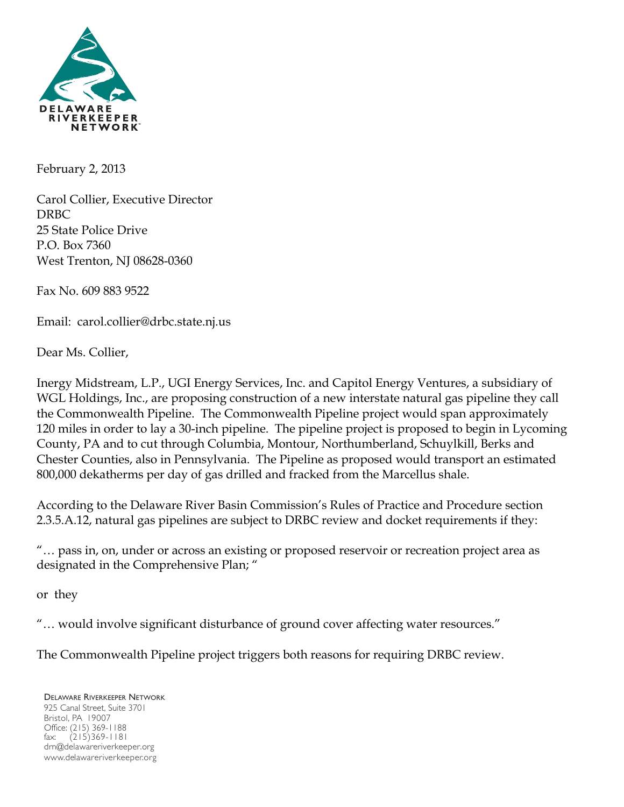

February 2, 2013

Carol Collier, Executive Director DRBC 25 State Police Drive P.O. Box 7360 West Trenton, NJ 08628-0360

Fax No. 609 883 9522

Email: carol.collier@drbc.state.nj.us

Dear Ms. Collier,

Inergy Midstream, L.P., UGI Energy Services, Inc. and Capitol Energy Ventures, a subsidiary of WGL Holdings, Inc., are proposing construction of a new interstate natural gas pipeline they call the Commonwealth Pipeline. The Commonwealth Pipeline project would span approximately 120 miles in order to lay a 30-inch pipeline. The pipeline project is proposed to begin in Lycoming County, PA and to cut through Columbia, Montour, Northumberland, Schuylkill, Berks and Chester Counties, also in Pennsylvania. The Pipeline as proposed would transport an estimated 800,000 dekatherms per day of gas drilled and fracked from the Marcellus shale.

According to the Delaware River Basin Commission's Rules of Practice and Procedure section 2.3.5.A.12, natural gas pipelines are subject to DRBC review and docket requirements if they:

"… pass in, on, under or across an existing or proposed reservoir or recreation project area as designated in the Comprehensive Plan; "

or they

"… would involve significant disturbance of ground cover affecting water resources."

The Commonwealth Pipeline project triggers both reasons for requiring DRBC review.

DELAWARE RIVERKEEPER NETWORK 925 Canal Street, Suite 3701 Bristol, PA 19007 Office: (215) 369-1188 fax: (215)369-1181 drn@delawareriverkeeper.org www.delawareriverkeeper.org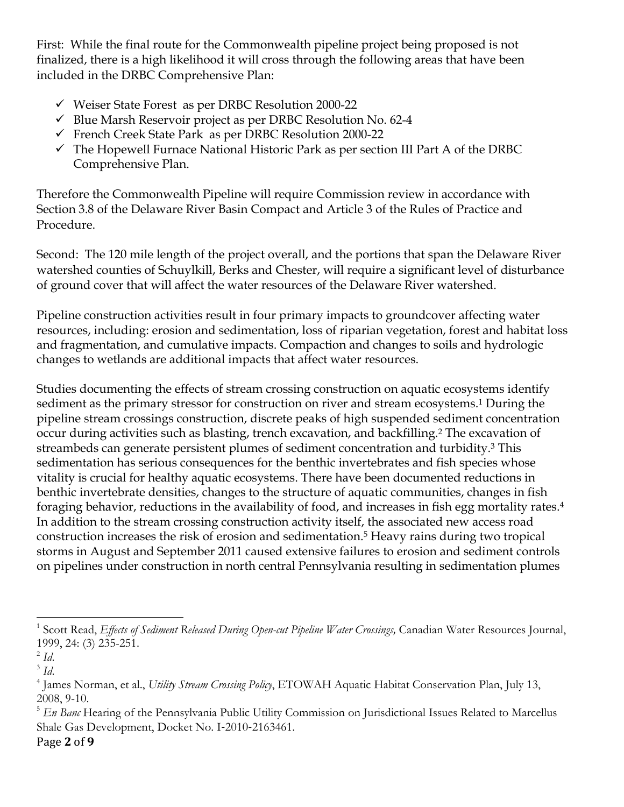First: While the final route for the Commonwealth pipeline project being proposed is not finalized, there is a high likelihood it will cross through the following areas that have been included in the DRBC Comprehensive Plan:

- Weiser State Forest as per DRBC Resolution 2000-22
- $\checkmark$  Blue Marsh Reservoir project as per DRBC Resolution No. 62-4
- French Creek State Park as per DRBC Resolution 2000-22
- $\checkmark$  The Hopewell Furnace National Historic Park as per section III Part A of the DRBC Comprehensive Plan.

Therefore the Commonwealth Pipeline will require Commission review in accordance with Section 3.8 of the Delaware River Basin Compact and Article 3 of the Rules of Practice and Procedure.

Second: The 120 mile length of the project overall, and the portions that span the Delaware River watershed counties of Schuylkill, Berks and Chester, will require a significant level of disturbance of ground cover that will affect the water resources of the Delaware River watershed.

Pipeline construction activities result in four primary impacts to groundcover affecting water resources, including: erosion and sedimentation, loss of riparian vegetation, forest and habitat loss and fragmentation, and cumulative impacts. Compaction and changes to soils and hydrologic changes to wetlands are additional impacts that affect water resources.

Studies documenting the effects of stream crossing construction on aquatic ecosystems identify sediment as the primary stressor for construction on river and stream ecosystems.<sup>1</sup> During the pipeline stream crossings construction, discrete peaks of high suspended sediment concentration occur during activities such as blasting, trench excavation, and backfilling.2 The excavation of streambeds can generate persistent plumes of sediment concentration and turbidity.3 This sedimentation has serious consequences for the benthic invertebrates and fish species whose vitality is crucial for healthy aquatic ecosystems. There have been documented reductions in benthic invertebrate densities, changes to the structure of aquatic communities, changes in fish foraging behavior, reductions in the availability of food, and increases in fish egg mortality rates.4 In addition to the stream crossing construction activity itself, the associated new access road construction increases the risk of erosion and sedimentation.5 Heavy rains during two tropical storms in August and September 2011 caused extensive failures to erosion and sediment controls on pipelines under construction in north central Pennsylvania resulting in sedimentation plumes

 

<sup>&</sup>lt;sup>1</sup> Scott Read, *Effects of Sediment Released During Open-cut Pipeline Water Crossings, Canadian Water Resources Journal,* 1999, 24: (3) 235-251.

 $^2$  *Id.* 

<sup>3</sup> *Id*.

<sup>4</sup> James Norman, et al., *Utility Stream Crossing Policy*, ETOWAH Aquatic Habitat Conservation Plan, July 13, 2008, 9-10.

<sup>&</sup>lt;sup>5</sup> *En Banc* Hearing of the Pennsylvania Public Utility Commission on Jurisdictional Issues Related to Marcellus Shale Gas Development, Docket No. I-2010-2163461.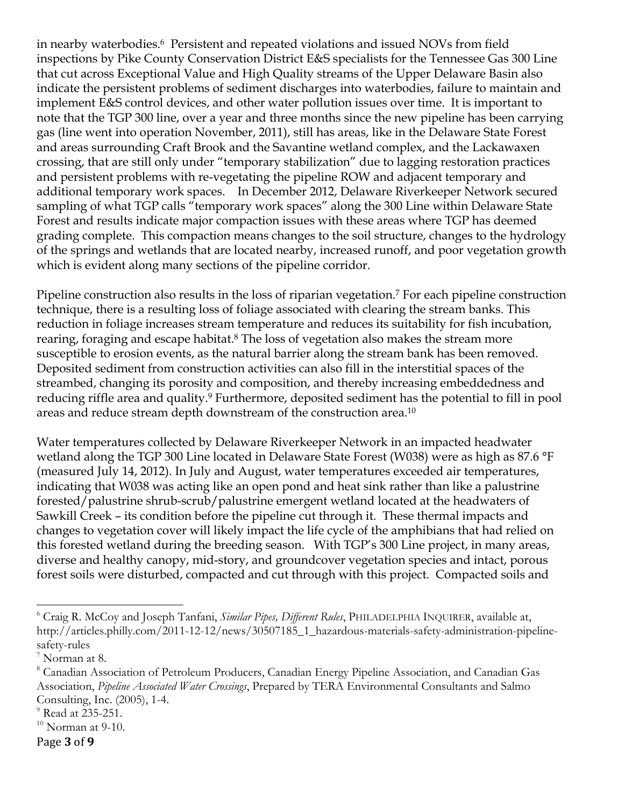in nearby waterbodies.6 Persistent and repeated violations and issued NOVs from field inspections by Pike County Conservation District E&S specialists for the Tennessee Gas 300 Line that cut across Exceptional Value and High Quality streams of the Upper Delaware Basin also indicate the persistent problems of sediment discharges into waterbodies, failure to maintain and implement E&S control devices, and other water pollution issues over time. It is important to note that the TGP 300 line, over a year and three months since the new pipeline has been carrying gas (line went into operation November, 2011), still has areas, like in the Delaware State Forest and areas surrounding Craft Brook and the Savantine wetland complex, and the Lackawaxen crossing, that are still only under "temporary stabilization" due to lagging restoration practices and persistent problems with re-vegetating the pipeline ROW and adjacent temporary and additional temporary work spaces. In December 2012, Delaware Riverkeeper Network secured sampling of what TGP calls "temporary work spaces" along the 300 Line within Delaware State Forest and results indicate major compaction issues with these areas where TGP has deemed grading complete. This compaction means changes to the soil structure, changes to the hydrology of the springs and wetlands that are located nearby, increased runoff, and poor vegetation growth which is evident along many sections of the pipeline corridor.

Pipeline construction also results in the loss of riparian vegetation.7 For each pipeline construction technique, there is a resulting loss of foliage associated with clearing the stream banks. This reduction in foliage increases stream temperature and reduces its suitability for fish incubation, rearing, foraging and escape habitat.<sup>8</sup> The loss of vegetation also makes the stream more susceptible to erosion events, as the natural barrier along the stream bank has been removed. Deposited sediment from construction activities can also fill in the interstitial spaces of the streambed, changing its porosity and composition, and thereby increasing embeddedness and reducing riffle area and quality.<sup>9</sup> Furthermore, deposited sediment has the potential to fill in pool areas and reduce stream depth downstream of the construction area.10

Water temperatures collected by Delaware Riverkeeper Network in an impacted headwater wetland along the TGP 300 Line located in Delaware State Forest (W038) were as high as 87.6 °F (measured July 14, 2012). In July and August, water temperatures exceeded air temperatures, indicating that W038 was acting like an open pond and heat sink rather than like a palustrine forested/palustrine shrub-scrub/palustrine emergent wetland located at the headwaters of Sawkill Creek – its condition before the pipeline cut through it. These thermal impacts and changes to vegetation cover will likely impact the life cycle of the amphibians that had relied on this forested wetland during the breeding season. With TGP's 300 Line project, in many areas, diverse and healthy canopy, mid-story, and groundcover vegetation species and intact, porous forest soils were disturbed, compacted and cut through with this project. Compacted soils and

 

<sup>6</sup> Craig R. McCoy and Joseph Tanfani, *Similar Pipes, Different Rules*, PHILADELPHIA INQUIRER, available at, http://articles.philly.com/2011-12-12/news/30507185\_1\_hazardous-materials-safety-administration-pipelinesafety-rules

 $^7$  Norman at 8.

<sup>8</sup> Canadian Association of Petroleum Producers, Canadian Energy Pipeline Association, and Canadian Gas Association, *Pipeline Associated Water Crossings*, Prepared by TERA Environmental Consultants and Salmo Consulting, Inc. (2005), 1-4.

 $<sup>9</sup>$  Read at 235-251.</sup>

 $^{10}$  Norman at 9-10.

Page **3** of **9**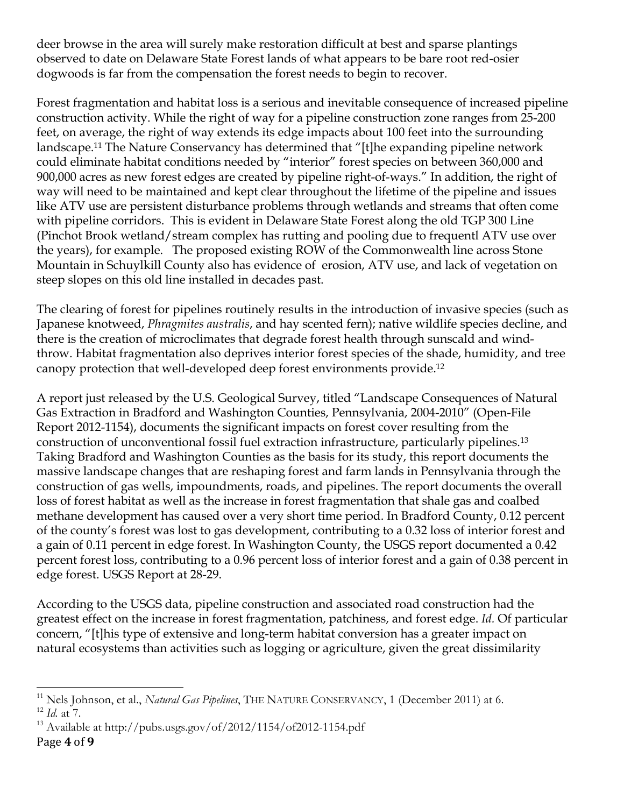deer browse in the area will surely make restoration difficult at best and sparse plantings observed to date on Delaware State Forest lands of what appears to be bare root red-osier dogwoods is far from the compensation the forest needs to begin to recover.

Forest fragmentation and habitat loss is a serious and inevitable consequence of increased pipeline construction activity. While the right of way for a pipeline construction zone ranges from 25-200 feet, on average, the right of way extends its edge impacts about 100 feet into the surrounding landscape. <sup>11</sup> The Nature Conservancy has determined that "[t]he expanding pipeline network could eliminate habitat conditions needed by "interior" forest species on between 360,000 and 900,000 acres as new forest edges are created by pipeline right-of-ways." In addition, the right of way will need to be maintained and kept clear throughout the lifetime of the pipeline and issues like ATV use are persistent disturbance problems through wetlands and streams that often come with pipeline corridors. This is evident in Delaware State Forest along the old TGP 300 Line (Pinchot Brook wetland/stream complex has rutting and pooling due to frequentl ATV use over the years), for example. The proposed existing ROW of the Commonwealth line across Stone Mountain in Schuylkill County also has evidence of erosion, ATV use, and lack of vegetation on steep slopes on this old line installed in decades past.

The clearing of forest for pipelines routinely results in the introduction of invasive species (such as Japanese knotweed, *Phragmites australis*, and hay scented fern); native wildlife species decline, and there is the creation of microclimates that degrade forest health through sunscald and windthrow. Habitat fragmentation also deprives interior forest species of the shade, humidity, and tree canopy protection that well-developed deep forest environments provide.12

A report just released by the U.S. Geological Survey, titled "Landscape Consequences of Natural Gas Extraction in Bradford and Washington Counties, Pennsylvania, 2004-2010" (Open-File Report 2012-1154), documents the significant impacts on forest cover resulting from the construction of unconventional fossil fuel extraction infrastructure, particularly pipelines.13 Taking Bradford and Washington Counties as the basis for its study, this report documents the massive landscape changes that are reshaping forest and farm lands in Pennsylvania through the construction of gas wells, impoundments, roads, and pipelines. The report documents the overall loss of forest habitat as well as the increase in forest fragmentation that shale gas and coalbed methane development has caused over a very short time period. In Bradford County, 0.12 percent of the county's forest was lost to gas development, contributing to a 0.32 loss of interior forest and a gain of 0.11 percent in edge forest. In Washington County, the USGS report documented a 0.42 percent forest loss, contributing to a 0.96 percent loss of interior forest and a gain of 0.38 percent in edge forest. USGS Report at 28-29.

According to the USGS data, pipeline construction and associated road construction had the greatest effect on the increase in forest fragmentation, patchiness, and forest edge. *Id.* Of particular concern, "[t]his type of extensive and long-term habitat conversion has a greater impact on natural ecosystems than activities such as logging or agriculture, given the great dissimilarity

 <sup>11</sup> Nels Johnson, et al., *Natural Gas Pipelines*, THE NATURE CONSERVANCY, 1 (December 2011) at 6. <sup>12</sup> *Id.* at 7.

<sup>&</sup>lt;sup>13</sup> Available at http://pubs.usgs.gov/of/2012/1154/of2012-1154.pdf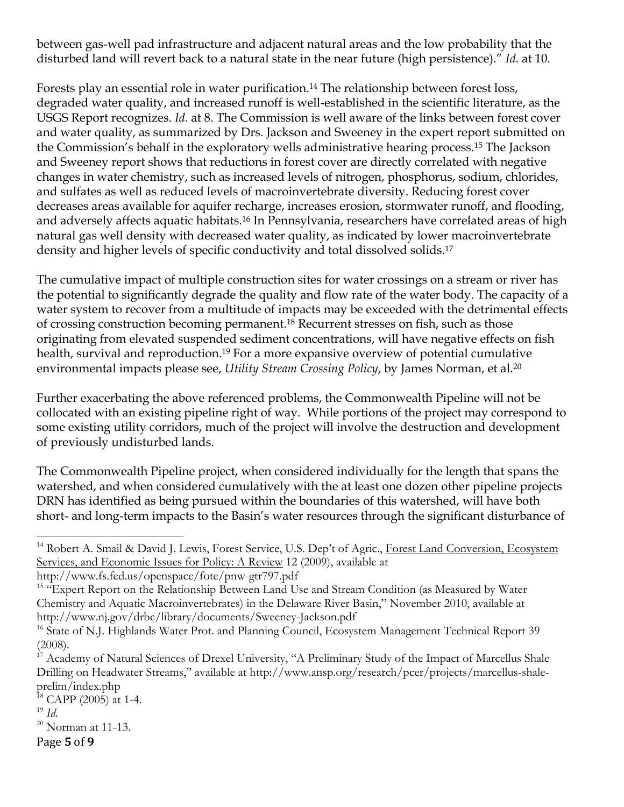between gas-well pad infrastructure and adjacent natural areas and the low probability that the disturbed land will revert back to a natural state in the near future (high persistence)." *Id.* at 10.

Forests play an essential role in water purification.<sup>14</sup> The relationship between forest loss, degraded water quality, and increased runoff is well-established in the scientific literature, as the USGS Report recognizes. *Id.* at 8. The Commission is well aware of the links between forest cover and water quality, as summarized by Drs. Jackson and Sweeney in the expert report submitted on the Commission's behalf in the exploratory wells administrative hearing process.15 The Jackson and Sweeney report shows that reductions in forest cover are directly correlated with negative changes in water chemistry, such as increased levels of nitrogen, phosphorus, sodium, chlorides, and sulfates as well as reduced levels of macroinvertebrate diversity. Reducing forest cover decreases areas available for aquifer recharge, increases erosion, stormwater runoff, and flooding, and adversely affects aquatic habitats.16 In Pennsylvania, researchers have correlated areas of high natural gas well density with decreased water quality, as indicated by lower macroinvertebrate density and higher levels of specific conductivity and total dissolved solids.17

The cumulative impact of multiple construction sites for water crossings on a stream or river has the potential to significantly degrade the quality and flow rate of the water body. The capacity of a water system to recover from a multitude of impacts may be exceeded with the detrimental effects of crossing construction becoming permanent.18 Recurrent stresses on fish, such as those originating from elevated suspended sediment concentrations, will have negative effects on fish health, survival and reproduction.<sup>19</sup> For a more expansive overview of potential cumulative environmental impacts please see, *Utility Stream Crossing Policy*, by James Norman, et al.20

Further exacerbating the above referenced problems, the Commonwealth Pipeline will not be collocated with an existing pipeline right of way. While portions of the project may correspond to some existing utility corridors, much of the project will involve the destruction and development of previously undisturbed lands.

The Commonwealth Pipeline project, when considered individually for the length that spans the watershed, and when considered cumulatively with the at least one dozen other pipeline projects DRN has identified as being pursued within the boundaries of this watershed, will have both short- and long-term impacts to the Basin's water resources through the significant disturbance of

 

 $^{19}$  *Id.* 

## Page **5** of **9**

<sup>&</sup>lt;sup>14</sup> Robert A. Smail & David J. Lewis, Forest Service, U.S. Dep't of Agric., Forest Land Conversion, Ecosystem Services, and Economic Issues for Policy: A Review 12 (2009), available at

http://www.fs.fed.us/openspace/fote/pnw-gtr797.pdf

<sup>&</sup>lt;sup>15</sup> "Expert Report on the Relationship Between Land Use and Stream Condition (as Measured by Water Chemistry and Aquatic Macroinvertebrates) in the Delaware River Basin," November 2010, available at http://www.nj.gov/drbc/library/documents/Sweeney-Jackson.pdf

<sup>&</sup>lt;sup>16</sup> State of N.J. Highlands Water Prot. and Planning Council, Ecosystem Management Technical Report 39 (2008).

<sup>&</sup>lt;sup>17</sup> Academy of Natural Sciences of Drexel University, "A Preliminary Study of the Impact of Marcellus Shale Drilling on Headwater Streams," available at http://www.ansp.org/research/pcer/projects/marcellus-shaleprelim/index.php

 $18$  CAPP (2005) at 1-4.

 $^{20}$  Norman at 11-13.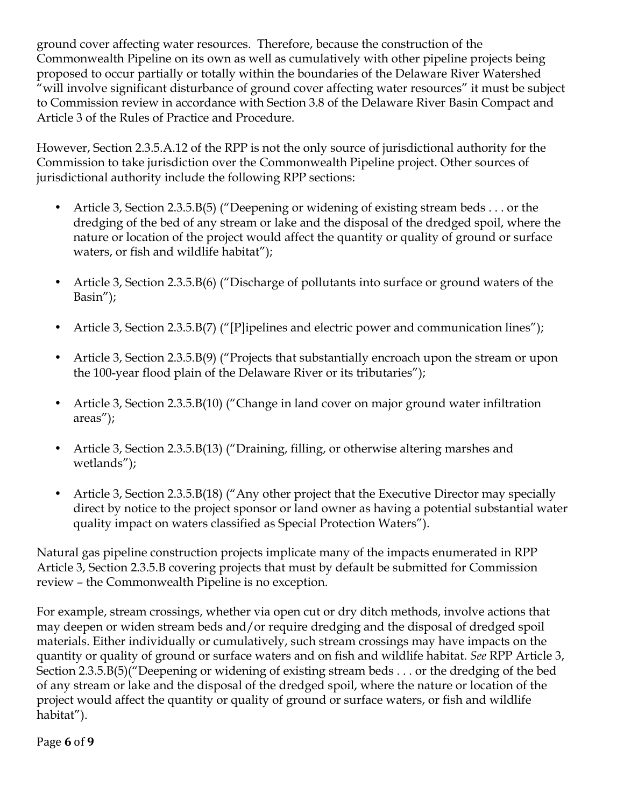ground cover affecting water resources. Therefore, because the construction of the Commonwealth Pipeline on its own as well as cumulatively with other pipeline projects being proposed to occur partially or totally within the boundaries of the Delaware River Watershed "will involve significant disturbance of ground cover affecting water resources" it must be subject to Commission review in accordance with Section 3.8 of the Delaware River Basin Compact and Article 3 of the Rules of Practice and Procedure.

However, Section 2.3.5.A.12 of the RPP is not the only source of jurisdictional authority for the Commission to take jurisdiction over the Commonwealth Pipeline project. Other sources of jurisdictional authority include the following RPP sections:

- Article 3, Section 2.3.5.B(5) ("Deepening or widening of existing stream beds . . . or the dredging of the bed of any stream or lake and the disposal of the dredged spoil, where the nature or location of the project would affect the quantity or quality of ground or surface waters, or fish and wildlife habitat");
- Article 3, Section 2.3.5.B(6) ("Discharge of pollutants into surface or ground waters of the Basin");
- Article 3, Section 2.3.5.B(7) ("[P]ipelines and electric power and communication lines");
- Article 3, Section 2.3.5.B(9) ("Projects that substantially encroach upon the stream or upon the 100-year flood plain of the Delaware River or its tributaries");
- Article 3, Section 2.3.5.B(10) ("Change in land cover on major ground water infiltration areas");
- Article 3, Section 2.3.5.B(13) ("Draining, filling, or otherwise altering marshes and wetlands");
- Article 3, Section 2.3.5.B(18) ("Any other project that the Executive Director may specially direct by notice to the project sponsor or land owner as having a potential substantial water quality impact on waters classified as Special Protection Waters").

Natural gas pipeline construction projects implicate many of the impacts enumerated in RPP Article 3, Section 2.3.5.B covering projects that must by default be submitted for Commission review – the Commonwealth Pipeline is no exception.

For example, stream crossings, whether via open cut or dry ditch methods, involve actions that may deepen or widen stream beds and/or require dredging and the disposal of dredged spoil materials. Either individually or cumulatively, such stream crossings may have impacts on the quantity or quality of ground or surface waters and on fish and wildlife habitat. *See* RPP Article 3, Section 2.3.5.B(5)("Deepening or widening of existing stream beds . . . or the dredging of the bed of any stream or lake and the disposal of the dredged spoil, where the nature or location of the project would affect the quantity or quality of ground or surface waters, or fish and wildlife habitat").

Page **6** of **9**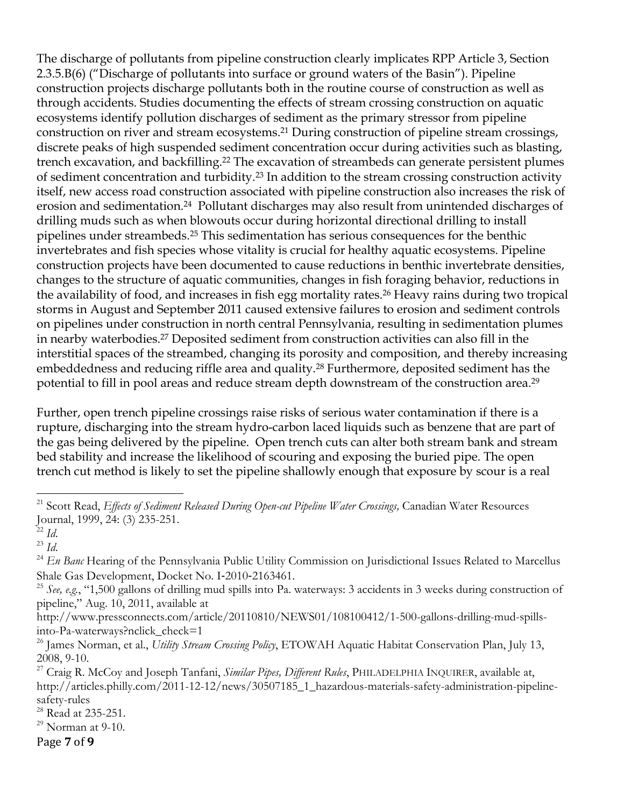The discharge of pollutants from pipeline construction clearly implicates RPP Article 3, Section 2.3.5.B(6) ("Discharge of pollutants into surface or ground waters of the Basin"). Pipeline construction projects discharge pollutants both in the routine course of construction as well as through accidents. Studies documenting the effects of stream crossing construction on aquatic ecosystems identify pollution discharges of sediment as the primary stressor from pipeline construction on river and stream ecosystems.21 During construction of pipeline stream crossings, discrete peaks of high suspended sediment concentration occur during activities such as blasting, trench excavation, and backfilling.<sup>22</sup> The excavation of streambeds can generate persistent plumes of sediment concentration and turbidity.23 In addition to the stream crossing construction activity itself, new access road construction associated with pipeline construction also increases the risk of erosion and sedimentation.24 Pollutant discharges may also result from unintended discharges of drilling muds such as when blowouts occur during horizontal directional drilling to install pipelines under streambeds.25 This sedimentation has serious consequences for the benthic invertebrates and fish species whose vitality is crucial for healthy aquatic ecosystems. Pipeline construction projects have been documented to cause reductions in benthic invertebrate densities, changes to the structure of aquatic communities, changes in fish foraging behavior, reductions in the availability of food, and increases in fish egg mortality rates.<sup>26</sup> Heavy rains during two tropical storms in August and September 2011 caused extensive failures to erosion and sediment controls on pipelines under construction in north central Pennsylvania, resulting in sedimentation plumes in nearby waterbodies.27 Deposited sediment from construction activities can also fill in the interstitial spaces of the streambed, changing its porosity and composition, and thereby increasing embeddedness and reducing riffle area and quality.<sup>28</sup> Furthermore, deposited sediment has the potential to fill in pool areas and reduce stream depth downstream of the construction area.29

Further, open trench pipeline crossings raise risks of serious water contamination if there is a rupture, discharging into the stream hydro-carbon laced liquids such as benzene that are part of the gas being delivered by the pipeline. Open trench cuts can alter both stream bank and stream bed stability and increase the likelihood of scouring and exposing the buried pipe. The open trench cut method is likely to set the pipeline shallowly enough that exposure by scour is a real

 

Page **7** of **9**

<sup>&</sup>lt;sup>21</sup> Scott Read, *Effects of Sediment Released During Open-cut Pipeline Water Crossings, Canadian Water Resources* Journal, 1999, 24: (3) 235-251.

 $^{22}$  *Id.* 

<sup>23</sup> *Id*.

<sup>24</sup> *En Banc* Hearing of the Pennsylvania Public Utility Commission on Jurisdictional Issues Related to Marcellus Shale Gas Development, Docket No. I-2010-2163461.

 $^{25}$  *See, e.g.*, "1,500 gallons of drilling mud spills into Pa. waterways: 3 accidents in 3 weeks during construction of pipeline," Aug. 10, 2011, available at

http://www.pressconnects.com/article/20110810/NEWS01/108100412/1-500-gallons-drilling-mud-spillsinto-Pa-waterways?nclick\_check=1

<sup>26</sup> James Norman, et al., *Utility Stream Crossing Policy*, ETOWAH Aquatic Habitat Conservation Plan, July 13, 2008, 9-10.

<sup>27</sup> Craig R. McCoy and Joseph Tanfani, *Similar Pipes, Different Rules*, PHILADELPHIA INQUIRER, available at, http://articles.philly.com/2011-12-12/news/30507185\_1\_hazardous-materials-safety-administration-pipelinesafety-rules

 $^{28}$  Read at 235-251.

 $^{29}$  Norman at 9-10.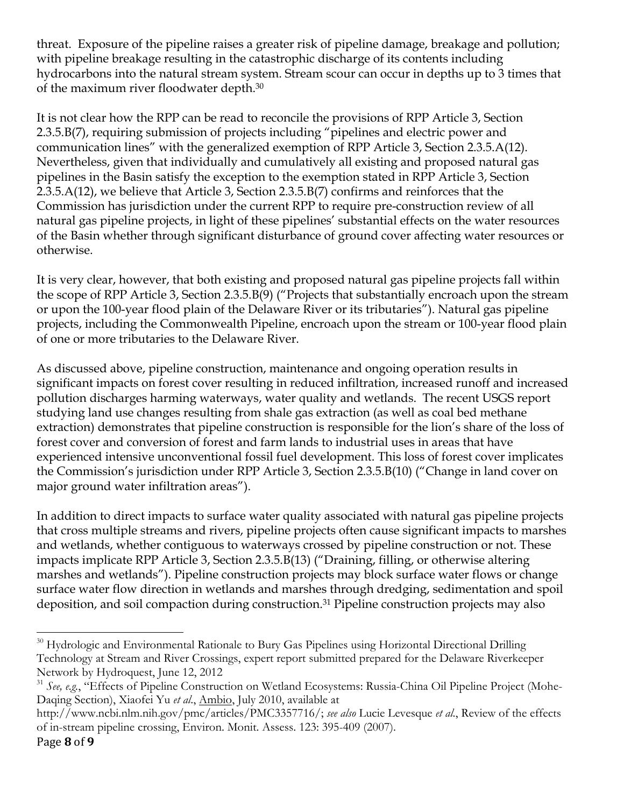threat. Exposure of the pipeline raises a greater risk of pipeline damage, breakage and pollution; with pipeline breakage resulting in the catastrophic discharge of its contents including hydrocarbons into the natural stream system. Stream scour can occur in depths up to 3 times that of the maximum river floodwater depth.30

It is not clear how the RPP can be read to reconcile the provisions of RPP Article 3, Section 2.3.5.B(7), requiring submission of projects including "pipelines and electric power and communication lines" with the generalized exemption of RPP Article 3, Section 2.3.5.A(12). Nevertheless, given that individually and cumulatively all existing and proposed natural gas pipelines in the Basin satisfy the exception to the exemption stated in RPP Article 3, Section 2.3.5.A(12), we believe that Article 3, Section 2.3.5.B(7) confirms and reinforces that the Commission has jurisdiction under the current RPP to require pre-construction review of all natural gas pipeline projects, in light of these pipelines' substantial effects on the water resources of the Basin whether through significant disturbance of ground cover affecting water resources or otherwise.

It is very clear, however, that both existing and proposed natural gas pipeline projects fall within the scope of RPP Article 3, Section 2.3.5.B(9) ("Projects that substantially encroach upon the stream or upon the 100-year flood plain of the Delaware River or its tributaries"). Natural gas pipeline projects, including the Commonwealth Pipeline, encroach upon the stream or 100-year flood plain of one or more tributaries to the Delaware River.

As discussed above, pipeline construction, maintenance and ongoing operation results in significant impacts on forest cover resulting in reduced infiltration, increased runoff and increased pollution discharges harming waterways, water quality and wetlands. The recent USGS report studying land use changes resulting from shale gas extraction (as well as coal bed methane extraction) demonstrates that pipeline construction is responsible for the lion's share of the loss of forest cover and conversion of forest and farm lands to industrial uses in areas that have experienced intensive unconventional fossil fuel development. This loss of forest cover implicates the Commission's jurisdiction under RPP Article 3, Section 2.3.5.B(10) ("Change in land cover on major ground water infiltration areas").

In addition to direct impacts to surface water quality associated with natural gas pipeline projects that cross multiple streams and rivers, pipeline projects often cause significant impacts to marshes and wetlands, whether contiguous to waterways crossed by pipeline construction or not. These impacts implicate RPP Article 3, Section 2.3.5.B(13) ("Draining, filling, or otherwise altering marshes and wetlands"). Pipeline construction projects may block surface water flows or change surface water flow direction in wetlands and marshes through dredging, sedimentation and spoil deposition, and soil compaction during construction.31 Pipeline construction projects may also

 <sup>30</sup> Hydrologic and Environmental Rationale to Bury Gas Pipelines using Horizontal Directional Drilling Technology at Stream and River Crossings, expert report submitted prepared for the Delaware Riverkeeper Network by Hydroquest, June 12, 2012

<sup>&</sup>lt;sup>31</sup> See, e.g., "Effects of Pipeline Construction on Wetland Ecosystems: Russia-China Oil Pipeline Project (Mohe-Daqing Section), Xiaofei Yu *et al*., Ambio, July 2010, available at

http://www.ncbi.nlm.nih.gov/pmc/articles/PMC3357716/; *see also* Lucie Levesque *et al*., Review of the effects of in-stream pipeline crossing, Environ. Monit. Assess. 123: 395-409 (2007).